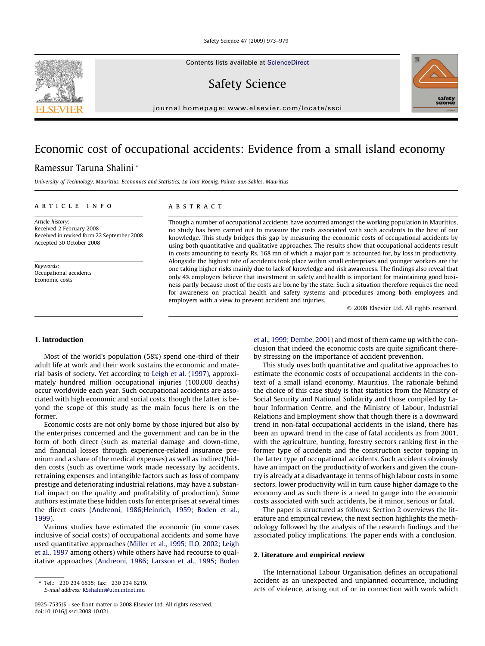Contents lists available at [ScienceDirect](http://www.sciencedirect.com/science/journal/09257535)

Safety Science

journal homepage: [www.elsevier.com/locate/ssci](http://www.elsevier.com/locate/ssci)

## Economic cost of occupational accidents: Evidence from a small island economy

### Ramessur Taruna Shalini \*

University of Technology, Mauritius, Economics and Statistics, La Tour Koenig, Pointe-aux-Sables, Mauritius

#### article info

Article history: Received 2 February 2008 Received in revised form 22 September 2008 Accepted 30 October 2008

Keywords: Occupational accidents Economic costs

#### ABSTRACT

Though a number of occupational accidents have occurred amongst the working population in Mauritius, no study has been carried out to measure the costs associated with such accidents to the best of our knowledge. This study bridges this gap by measuring the economic costs of occupational accidents by using both quantitative and qualitative approaches. The results show that occupational accidents result in costs amounting to nearly Rs. 168 mn of which a major part is accounted for, by loss in productivity. Alongside the highest rate of accidents took place within small enterprises and younger workers are the one taking higher risks mainly due to lack of knowledge and risk awareness. The findings also reveal that only 4% employers believe that investment in safety and health is important for maintaining good business partly because most of the costs are borne by the state. Such a situation therefore requires the need for awareness on practical health and safety systems and procedures among both employees and employers with a view to prevent accident and injuries.

- 2008 Elsevier Ltd. All rights reserved.

#### 1. Introduction

Most of the world's population (58%) spend one-third of their adult life at work and their work sustains the economic and material basis of society. Yet according to [Leigh et al. \(1997\),](#page--1-0) approximately hundred million occupational injuries (100,000 deaths) occur worldwide each year. Such occupational accidents are associated with high economic and social costs, though the latter is beyond the scope of this study as the main focus here is on the former.

Economic costs are not only borne by those injured but also by the enterprises concerned and the government and can be in the form of both direct (such as material damage and down-time, and financial losses through experience-related insurance premium and a share of the medical expenses) as well as indirect/hidden costs (such as overtime work made necessary by accidents, retraining expenses and intangible factors such as loss of company prestige and deteriorating industrial relations, may have a substantial impact on the quality and profitability of production). Some authors estimate these hidden costs for enterprises at several times the direct costs [\(Andreoni, 1986;Heinrich, 1959; Boden et al.,](#page--1-0) [1999\)](#page--1-0).

Various studies have estimated the economic (in some cases inclusive of social costs) of occupational accidents and some have used quantitative approaches ([Miller et al., 1995; ILO, 2002; Leigh](#page--1-0) [et al., 1997](#page--1-0) among others) while others have had recourse to qualitative approaches [\(Andreoni, 1986; Larsson et al., 1995; Boden](#page--1-0)

E-mail address: [RSshalini@utm.intnet.mu](mailto:RSshalini@utm.intnet.mu)

[et al., 1999; Dembe, 2001](#page--1-0)) and most of them came up with the conclusion that indeed the economic costs are quite significant thereby stressing on the importance of accident prevention.

This study uses both quantitative and qualitative approaches to estimate the economic costs of occupational accidents in the context of a small island economy, Mauritius. The rationale behind the choice of this case study is that statistics from the Ministry of Social Security and National Solidarity and those compiled by Labour Information Centre, and the Ministry of Labour, Industrial Relations and Employment show that though there is a downward trend in non-fatal occupational accidents in the island, there has been an upward trend in the case of fatal accidents as from 2001, with the agriculture, hunting, forestry sectors ranking first in the former type of accidents and the construction sector topping in the latter type of occupational accidents. Such accidents obviously have an impact on the productivity of workers and given the country is already at a disadvantage in terms of high labour costs in some sectors, lower productivity will in turn cause higher damage to the economy and as such there is a need to gauge into the economic costs associated with such accidents, be it minor, serious or fatal.

The paper is structured as follows: Section 2 overviews the literature and empirical review, the next section highlights the methodology followed by the analysis of the research findings and the associated policy implications. The paper ends with a conclusion.

#### 2. Literature and empirical review

The International Labour Organisation defines an occupational accident as an unexpected and unplanned occurrence, including acts of violence, arising out of or in connection with work which





<sup>\*</sup> Tel.: +230 234 6535; fax: +230 234 6219.

<sup>0925-7535/\$ -</sup> see front matter © 2008 Elsevier Ltd. All rights reserved. doi:10.1016/j.ssci.2008.10.021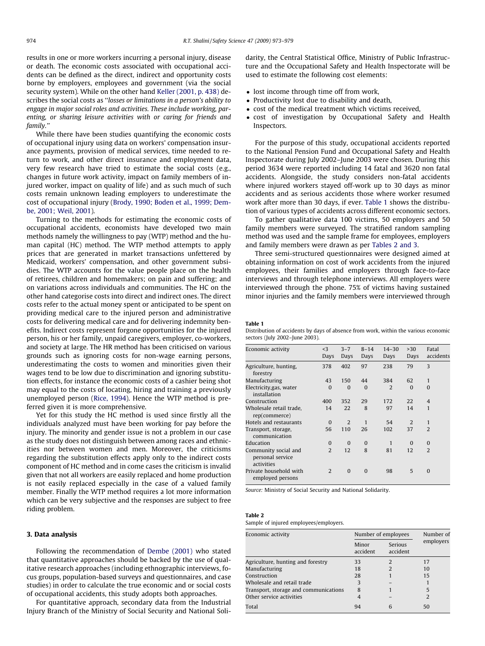results in one or more workers incurring a personal injury, disease or death. The economic costs associated with occupational accidents can be defined as the direct, indirect and opportunity costs borne by employers, employees and government (via the social security system). While on the other hand [Keller \(2001, p. 438\)](#page--1-0) describes the social costs as ''losses or limitations in a person's ability to engage in major social roles and activities. These include working, parenting, or sharing leisure activities with or caring for friends and family.''

While there have been studies quantifying the economic costs of occupational injury using data on workers' compensation insurance payments, provision of medical services, time needed to return to work, and other direct insurance and employment data, very few research have tried to estimate the social costs (e.g., changes in future work activity, impact on family members of injured worker, impact on quality of life) and as such much of such costs remain unknown leading employers to underestimate the cost of occupational injury ([Brody, 1990; Boden et al., 1999; Dem](#page--1-0)[be, 2001; Weil, 2001\)](#page--1-0).

Turning to the methods for estimating the economic costs of occupational accidents, economists have developed two main methods namely the willingness to pay (WTP) method and the human capital (HC) method. The WTP method attempts to apply prices that are generated in market transactions unfettered by Medicaid, workers' compensation, and other government subsidies. The WTP accounts for the value people place on the health of retirees, children and homemakers; on pain and suffering; and on variations across individuals and communities. The HC on the other hand categorise costs into direct and indirect ones. The direct costs refer to the actual money spent or anticipated to be spent on providing medical care to the injured person and administrative costs for delivering medical care and for delivering indemnity benefits. Indirect costs represent forgone opportunities for the injured person, his or her family, unpaid caregivers, employer, co-workers, and society at large. The HR method has been criticised on various grounds such as ignoring costs for non-wage earning persons, underestimating the costs to women and minorities given their wages tend to be low due to discrimination and ignoring substitution effects, for instance the economic costs of a cashier being shot may equal to the costs of locating, hiring and training a previously unemployed person [\(Rice, 1994\)](#page--1-0). Hence the WTP method is preferred given it is more comprehensive.

Yet for this study the HC method is used since firstly all the individuals analyzed must have been working for pay before the injury. The minority and gender issue is not a problem in our case as the study does not distinguish between among races and ethnicities nor between women and men. Moreover, the criticisms regarding the substitution effects apply only to the indirect costs component of HC method and in come cases the criticism is invalid given that not all workers are easily replaced and home production is not easily replaced especially in the case of a valued family member. Finally the WTP method requires a lot more information which can be very subjective and the responses are subject to free riding problem.

#### 3. Data analysis

Following the recommendation of [Dembe \(2001\)](#page--1-0) who stated that quantitative approaches should be backed by the use of qualitative research approaches (including ethnographic interviews, focus groups, population-based surveys and questionnaires, and case studies) in order to calculate the true economic and or social costs of occupational accidents, this study adopts both approaches.

For quantitative approach, secondary data from the Industrial Injury Branch of the Ministry of Social Security and National Solidarity, the Central Statistical Office, Ministry of Public Infrastructure and the Occupational Safety and Health Inspectorate will be used to estimate the following cost elements:

- lost income through time off from work,
- Productivity lost due to disability and death,
- cost of the medical treatment which victims received,
- cost of investigation by Occupational Safety and Health Inspectors.

For the purpose of this study, occupational accidents reported to the National Pension Fund and Occupational Safety and Health Inspectorate during July 2002–June 2003 were chosen. During this period 3634 were reported including 14 fatal and 3620 non fatal accidents. Alongside, the study considers non-fatal accidents where injured workers stayed off-work up to 30 days as minor accidents and as serious accidents those where worker resumed work after more than 30 days, if ever. Table 1 shows the distribution of various types of accidents across different economic sectors.

To gather qualitative data 100 victims, 50 employers and 50 family members were surveyed. The stratified random sampling method was used and the sample frame for employees, employers and family members were drawn as per Tables 2 and 3.

Three semi-structured questionnaires were designed aimed at obtaining information on cost of work accidents from the injured employees, their families and employers through face-to-face interviews and through telephone interviews. All employers were interviewed through the phone. 75% of victims having sustained minor injuries and the family members were interviewed through

#### Table 1

Distribution of accidents by days of absence from work, within the various economic sectors (July 2002–June 2003).

| Economic activity                                      | $\leq$ 3<br>Days | $3 - 7$<br>Days | $8 - 14$<br>Days | $14 - 30$<br>Days | >30<br>Days | Fatal<br>accidents |
|--------------------------------------------------------|------------------|-----------------|------------------|-------------------|-------------|--------------------|
| Agriculture, hunting,<br>forestry                      | 378              | 402             | 97               | 238               | 79          | 3                  |
| Manufacturing                                          | 43               | 150             | 44               | 384               | 62          | $\mathbf{1}$       |
| Electricity, gas, water<br>installation                | $\Omega$         | $\Omega$        | $\Omega$         | $\overline{2}$    | $\Omega$    | $\Omega$           |
| Construction                                           | 400              | 352             | 29               | 172               | 22          | $\overline{4}$     |
| Wholesale retail trade,<br>rep(commerce)               | 14               | 22              | 8                | 97                | 14          | $\mathbf{1}$       |
| Hotels and restaurants                                 | $\Omega$         | 2               | $\mathbf{1}$     | 54                | 2           | $\mathbf{1}$       |
| Transport, storage,<br>communication                   | 56               | 110             | 26               | 102               | 37          | $\overline{2}$     |
| Education                                              | $\Omega$         | $\Omega$        | $\bf{0}$         | $\mathbf{1}$      | $\Omega$    | $\Omega$           |
| Community social and<br>personal service<br>activities | $\overline{2}$   | 12              | 8                | 81                | 12          | $\mathfrak{D}$     |
| Private household with<br>employed persons             | 2                | $\Omega$        | $\Omega$         | 98                | 5           | $\Omega$           |
|                                                        |                  |                 |                  |                   |             |                    |

Source: Ministry of Social Security and National Solidarity.

#### Table 2

Sample of injured employees/employers.

| Economic activity                     | Number of employees | Number of           |                |  |
|---------------------------------------|---------------------|---------------------|----------------|--|
|                                       | Minor<br>accident   | Serious<br>accident | employers      |  |
| Agriculture, hunting and forestry     | 33                  | $\mathcal{P}$       | 17             |  |
| Manufacturing                         | 18                  | $\overline{2}$      | 10             |  |
| Construction                          | 28                  |                     | 15             |  |
| Wholesale and retail trade            | 3                   |                     |                |  |
| Transport, storage and communications | 8                   |                     | 5              |  |
| Other service activities              |                     |                     | $\overline{2}$ |  |
| Total                                 | 94                  | 6                   | 50             |  |